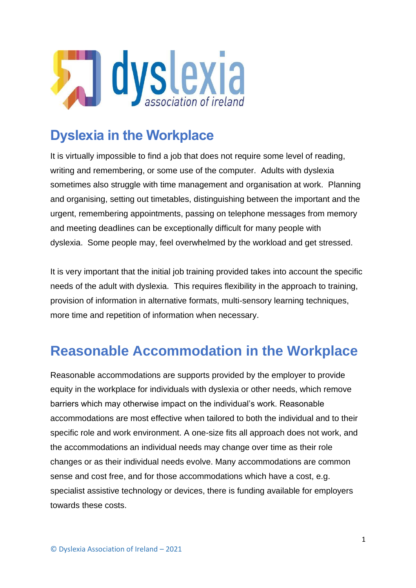

### **Dyslexia in the Workplace**

It is virtually impossible to find a job that does not require some level of reading, writing and remembering, or some use of the computer. Adults with dyslexia sometimes also struggle with time management and organisation at work. Planning and organising, setting out timetables, distinguishing between the important and the urgent, remembering appointments, passing on telephone messages from memory and meeting deadlines can be exceptionally difficult for many people with dyslexia. Some people may, feel overwhelmed by the workload and get stressed.

It is very important that the initial job training provided takes into account the specific needs of the adult with dyslexia. This requires flexibility in the approach to training, provision of information in alternative formats, multi-sensory learning techniques, more time and repetition of information when necessary.

## **Reasonable Accommodation in the Workplace**

Reasonable accommodations are supports provided by the employer to provide equity in the workplace for individuals with dyslexia or other needs, which remove barriers which may otherwise impact on the individual's work. Reasonable accommodations are most effective when tailored to both the individual and to their specific role and work environment. A one-size fits all approach does not work, and the accommodations an individual needs may change over time as their role changes or as their individual needs evolve. Many accommodations are common sense and cost free, and for those accommodations which have a cost, e.g. specialist assistive technology or devices, there is funding available for employers towards these costs.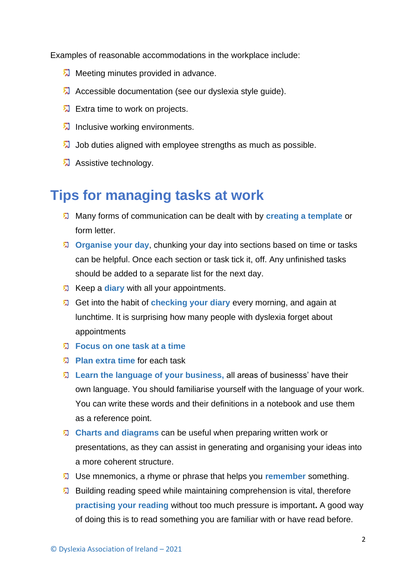Examples of reasonable accommodations in the workplace include:

- **M** Meeting minutes provided in advance.
- **A** Accessible documentation (see our dyslexia style quide).
- **A** Extra time to work on projects.
- **Inclusive working environments.**
- Job duties aligned with employee strengths as much as possible.
- **Assistive technology.**

### **Tips for managing tasks at work**

- Many forms of communication can be dealt with by **creating a template** or form letter.
- **Drganise your day**, chunking your day into sections based on time or tasks can be helpful. Once each section or task tick it, off. Any unfinished tasks should be added to a separate list for the next day.
- **2** Keep a **diary** with all your appointments.
- Get into the habit of **checking your diary** every morning, and again at lunchtime. It is surprising how many people with dyslexia forget about appointments
- **Focus on one task at a time**
- **Plan extra time** for each task
- **Learn the language of your business,** all areas of businesss' have their own language. You should familiarise yourself with the language of your work. You can write these words and their definitions in a notebook and use them as a reference point.
- **Charts and diagrams** can be useful when preparing written work or presentations, as they can assist in generating and organising your ideas into a more coherent structure.
- Use mnemonics, a rhyme or phrase that helps you **remember** something.
- **E** Building reading speed while maintaining comprehension is vital, therefore **practising your reading** without too much pressure is important**.** A good way of doing this is to read something you are familiar with or have read before.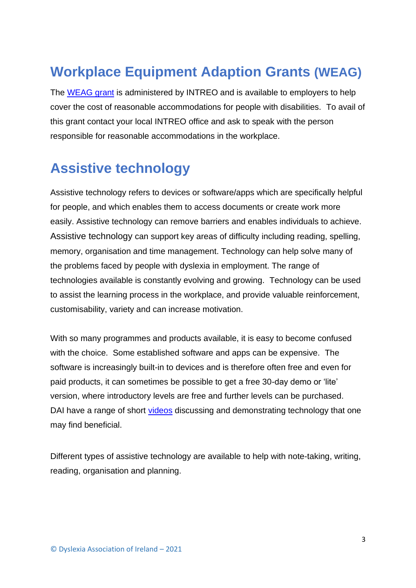# **Workplace Equipment Adaption Grants (WEAG)**

The [WEAG](https://www.gov.ie/en/service/38fdd0-workplace-equipment-adaptation-grant/) grant is administered by INTREO and is available to employers to help cover the cost of reasonable accommodations for people with disabilities. To avail of this grant contact your local INTREO office and ask to speak with the person responsible for reasonable accommodations in the workplace.

# **Assistive technology**

Assistive technology refers to devices or software/apps which are specifically helpful for people, and which enables them to access documents or create work more easily. Assistive technology can remove barriers and enables individuals to achieve. Assistive technology can support key areas of difficulty including reading, spelling, memory, organisation and time management. Technology can help solve many of the problems faced by people with dyslexia in employment. The range of technologies available is constantly evolving and growing. Technology can be used to assist the learning process in the workplace, and provide valuable reinforcement, customisability, variety and can increase motivation.

With so many programmes and products available, it is easy to become confused with the choice. Some established software and apps can be expensive. The software is increasingly built-in to devices and is therefore often free and even for paid products, it can sometimes be possible to get a free 30-day demo or 'lite' version, where introductory levels are free and further levels can be purchased. DAI have a range of short [videos](https://www.youtube.com/playlist?app=desktop&list=PLy0l0HZyprd3YixjBxgpZYIT4fu2oaB10) discussing and demonstrating technology that one may find beneficial.

Different types of assistive technology are available to help with note-taking, writing, reading, organisation and planning.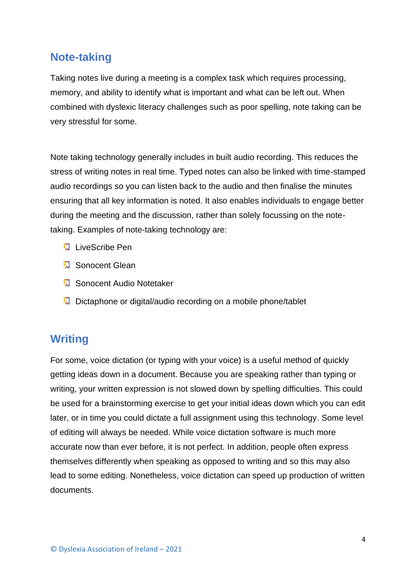#### **Note-taking**

Taking notes live during a meeting is a complex task which requires processing, memory, and ability to identify what is important and what can be left out. When combined with dyslexic literacy challenges such as poor spelling, note taking can be very stressful for some.

Note taking technology generally includes in built audio recording. This reduces the stress of writing notes in real time. Typed notes can also be linked with time-stamped audio recordings so you can listen back to the audio and then finalise the minutes ensuring that all key information is noted. It also enables individuals to engage better during the meeting and the discussion, rather than solely focussing on the notetaking. Examples of note-taking technology are:

- LiveScribe Pen
- Sonocent Glean
- Sonocent Audio Notetaker
- Dictaphone or digital/audio recording on a mobile phone/tablet

### **Writing**

For some, voice dictation (or typing with your voice) is a useful method of quickly getting ideas down in a document. Because you are speaking rather than typing or writing, your written expression is not slowed down by spelling difficulties. This could be used for a brainstorming exercise to get your initial ideas down which you can edit later, or in time you could dictate a full assignment using this technology. Some level of editing will always be needed. While voice dictation software is much more accurate now than ever before, it is not perfect. In addition, people often express themselves differently when speaking as opposed to writing and so this may also lead to some editing. Nonetheless, voice dictation can speed up production of written documents.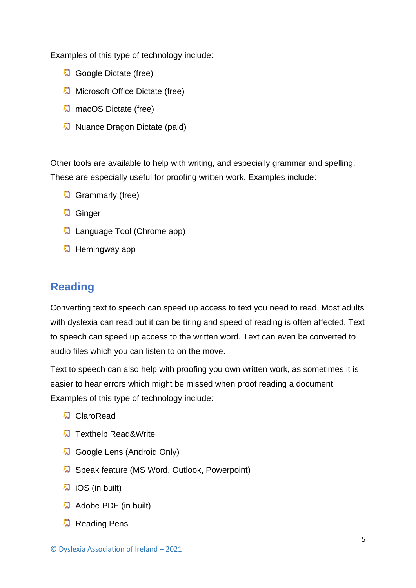Examples of this type of technology include:

- Google Dictate (free)
- **A** Microsoft Office Dictate (free)
- **A** macOS Dictate (free)
- **A** Nuance Dragon Dictate (paid)

Other tools are available to help with writing, and especially grammar and spelling. These are especially useful for proofing written work. Examples include:

- **园** Grammarly (free)
- **ね** Ginger
- **A** Language Tool (Chrome app)
- **园** Hemingway app

#### **Reading**

Converting text to speech can speed up access to text you need to read. Most adults with dyslexia can read but it can be tiring and speed of reading is often affected. Text to speech can speed up access to the written word. Text can even be converted to audio files which you can listen to on the move.

Text to speech can also help with proofing you own written work, as sometimes it is easier to hear errors which might be missed when proof reading a document. Examples of this type of technology include:

- **E** ClaroRead
- **7** Texthelp Read&Write
- **Google Lens (Android Only)**
- Speak feature (MS Word, Outlook, Powerpoint)
- <sup>2</sup> iOS (in built)
- **Adobe PDF** (in built)
- **和 Reading Pens**